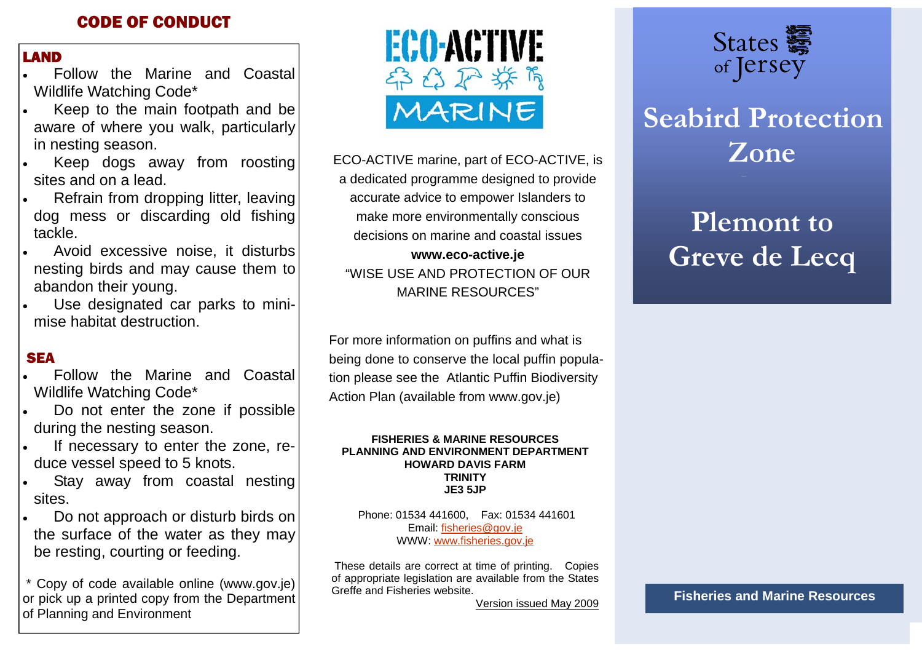## CODE OF CONDUCT

#### LAND

- Wildlife Watching Code\* Follow the Marine and Coastal
- Keep to the main footpath and be aware of where you walk, particularly in nesting season.
- Keep dogs away from roosting sites and on a lead.
- Refrain from dropping litter, leaving dog mess or discarding old fishing tackle.
- Avoid excessive noise, it disturbs nesting birds and may cause them to abandon their young.
- Use designated car parks to minimise habitat destruction.

### **SEA**

- Follow the Marine and Coastal Wildlife Watching Code\*
- Do not enter the zone if possible during the nesting season.
- If necessary to enter the zone, reduce vessel speed to 5 knots.
- Stay away from coastal nesting sites.
- Do not approach or disturb birds on the surface of the water as they may be resting, courting or feeding.

 \* Copy of code available online (www.gov.je) or pick up a printed copy from the Department of Planning and Environment



ECO-ACTIVE marine, part of ECO-ACTIVE, is a dedicated programme designed to provide accurate advice to empower Islanders to make more environmentally conscious decisions on marine and coastal issues **www.eco-active.je** 

"WISE USE AND PROTECTION OF OUR MARINE RESOURCES"

For more information on puffins and what is being done to conserve the local puffin population please see the Atlantic Puffin Biodiversity Action Plan (available from www.gov.je)

#### **FISHERIES & MARINE RESOURCES PLANNING AND ENVIRONMENT DEPARTMENT HOWARD DAVIS FARM TRINITY JE3 5JP**

 Phone: 01534 441600, Fax: 01534 441601 Email: fisheries@gov.je WWW: www.fisheries.gov.je

 These details are correct at time of printing. Copies of appropriate legislation are available from the States Greffe and Fisheries website.

Version issued May 2009



# **Seabird Protectio n Zone**

# **Plemont to Greve de Lecq**

**Fisheries and Marine Resources**